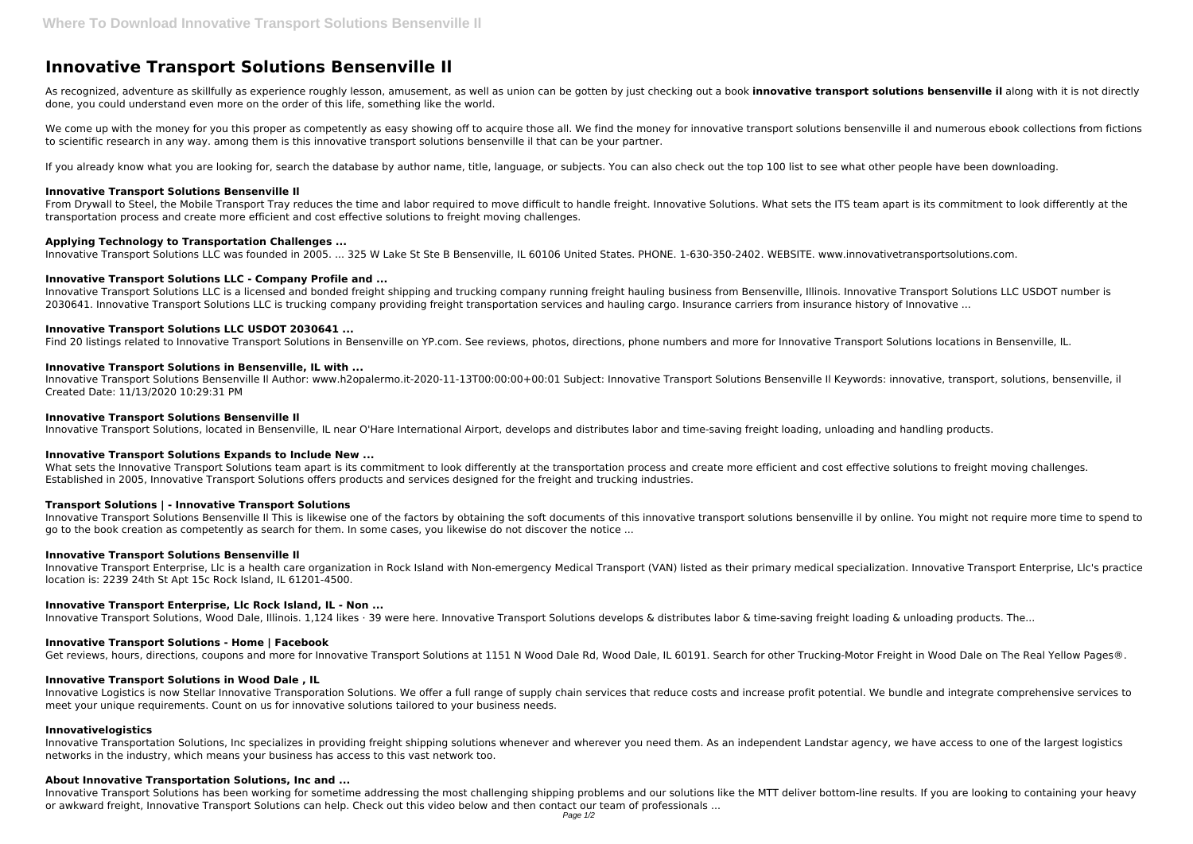# **Innovative Transport Solutions Bensenville Il**

As recognized, adventure as skillfully as experience roughly lesson, amusement, as well as union can be gotten by just checking out a book **innovative transport solutions bensenville il** along with it is not directly done, you could understand even more on the order of this life, something like the world.

We come up with the money for you this proper as competently as easy showing off to acquire those all. We find the money for innovative transport solutions bensenville il and numerous ebook collections from fictions to scientific research in any way. among them is this innovative transport solutions bensenville il that can be your partner.

If you already know what you are looking for, search the database by author name, title, language, or subjects. You can also check out the top 100 list to see what other people have been downloading.

From Drywall to Steel, the Mobile Transport Tray reduces the time and labor required to move difficult to handle freight. Innovative Solutions. What sets the ITS team apart is its commitment to look differently at the transportation process and create more efficient and cost effective solutions to freight moving challenges.

Innovative Transport Solutions LLC is a licensed and bonded freight shipping and trucking company running freight hauling business from Bensenville, Illinois. Innovative Transport Solutions LLC USDOT number is 2030641. Innovative Transport Solutions LLC is trucking company providing freight transportation services and hauling cargo. Insurance carriers from insurance history of Innovative ...

### **Innovative Transport Solutions Bensenville Il**

#### **Applying Technology to Transportation Challenges ...**

Innovative Transport Solutions LLC was founded in 2005. ... 325 W Lake St Ste B Bensenville, IL 60106 United States. PHONE. 1-630-350-2402. WEBSITE. www.innovativetransportsolutions.com.

#### **Innovative Transport Solutions LLC - Company Profile and ...**

What sets the Innovative Transport Solutions team apart is its commitment to look differently at the transportation process and create more efficient and cost effective solutions to freight moving challenges. Established in 2005, Innovative Transport Solutions offers products and services designed for the freight and trucking industries.

#### **Innovative Transport Solutions LLC USDOT 2030641 ...**

Find 20 listings related to Innovative Transport Solutions in Bensenville on YP.com. See reviews, photos, directions, phone numbers and more for Innovative Transport Solutions locations in Bensenville, IL.

#### **Innovative Transport Solutions in Bensenville, IL with ...**

Innovative Logistics is now Stellar Innovative Transporation Solutions. We offer a full range of supply chain services that reduce costs and increase profit potential. We bundle and integrate comprehensive services to meet your unique requirements. Count on us for innovative solutions tailored to your business needs.

Innovative Transport Solutions Bensenville Il Author: www.h2opalermo.it-2020-11-13T00:00:00+00:01 Subject: Innovative Transport Solutions Bensenville Il Keywords: innovative, transport, solutions, bensenville, il Created Date: 11/13/2020 10:29:31 PM

#### **Innovative Transport Solutions Bensenville Il**

Innovative Transport Solutions, located in Bensenville, IL near O'Hare International Airport, develops and distributes labor and time-saving freight loading, unloading and handling products.

# **Innovative Transport Solutions Expands to Include New ...**

### **Transport Solutions | - Innovative Transport Solutions**

Innovative Transport Solutions Bensenville Il This is likewise one of the factors by obtaining the soft documents of this innovative transport solutions bensenville il by online. You might not require more time to spend to go to the book creation as competently as search for them. In some cases, you likewise do not discover the notice ...

#### **Innovative Transport Solutions Bensenville Il**

Innovative Transport Enterprise, Llc is a health care organization in Rock Island with Non-emergency Medical Transport (VAN) listed as their primary medical specialization. Innovative Transport Enterprise, Llc's practice location is: 2239 24th St Apt 15c Rock Island, IL 61201-4500.

### **Innovative Transport Enterprise, Llc Rock Island, IL - Non ...**

Innovative Transport Solutions, Wood Dale, Illinois. 1,124 likes · 39 were here. Innovative Transport Solutions develops & distributes labor & time-saving freight loading & unloading products. The...

## **Innovative Transport Solutions - Home | Facebook**

Get reviews, hours, directions, coupons and more for Innovative Transport Solutions at 1151 N Wood Dale Rd, Wood Dale, IL 60191. Search for other Trucking-Motor Freight in Wood Dale on The Real Yellow Pages®.

### **Innovative Transport Solutions in Wood Dale , IL**

### **Innovativelogistics**

Innovative Transportation Solutions, Inc specializes in providing freight shipping solutions whenever and wherever you need them. As an independent Landstar agency, we have access to one of the largest logistics networks in the industry, which means your business has access to this vast network too.

#### **About Innovative Transportation Solutions, Inc and ...**

Innovative Transport Solutions has been working for sometime addressing the most challenging shipping problems and our solutions like the MTT deliver bottom-line results. If you are looking to containing your heavy or awkward freight, Innovative Transport Solutions can help. Check out this video below and then contact our team of professionals ...